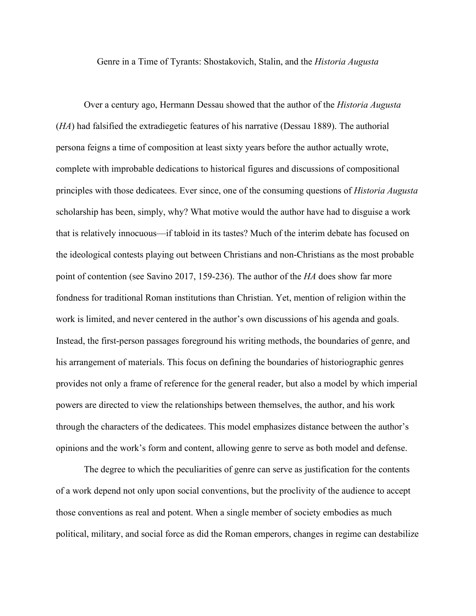Genre in a Time of Tyrants: Shostakovich, Stalin, and the *Historia Augusta*

Over a century ago, Hermann Dessau showed that the author of the *Historia Augusta* (*HA*) had falsified the extradiegetic features of his narrative (Dessau 1889). The authorial persona feigns a time of composition at least sixty years before the author actually wrote, complete with improbable dedications to historical figures and discussions of compositional principles with those dedicatees. Ever since, one of the consuming questions of *Historia Augusta* scholarship has been, simply, why? What motive would the author have had to disguise a work that is relatively innocuous—if tabloid in its tastes? Much of the interim debate has focused on the ideological contests playing out between Christians and non-Christians as the most probable point of contention (see Savino 2017, 159-236). The author of the *HA* does show far more fondness for traditional Roman institutions than Christian. Yet, mention of religion within the work is limited, and never centered in the author's own discussions of his agenda and goals. Instead, the first-person passages foreground his writing methods, the boundaries of genre, and his arrangement of materials. This focus on defining the boundaries of historiographic genres provides not only a frame of reference for the general reader, but also a model by which imperial powers are directed to view the relationships between themselves, the author, and his work through the characters of the dedicatees. This model emphasizes distance between the author's opinions and the work's form and content, allowing genre to serve as both model and defense.

The degree to which the peculiarities of genre can serve as justification for the contents of a work depend not only upon social conventions, but the proclivity of the audience to accept those conventions as real and potent. When a single member of society embodies as much political, military, and social force as did the Roman emperors, changes in regime can destabilize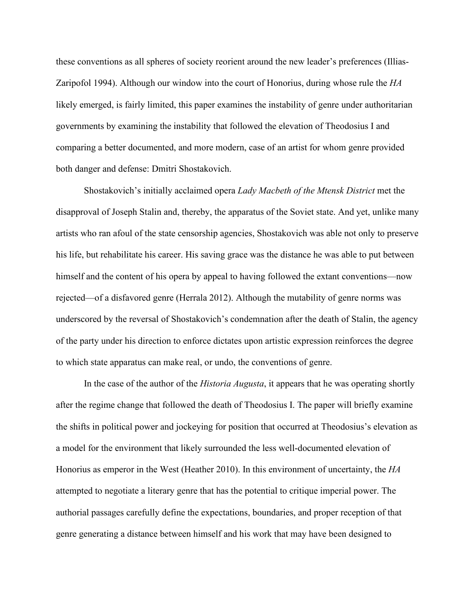these conventions as all spheres of society reorient around the new leader's preferences (Illias-Zaripofol 1994). Although our window into the court of Honorius, during whose rule the *HA*  likely emerged, is fairly limited, this paper examines the instability of genre under authoritarian governments by examining the instability that followed the elevation of Theodosius I and comparing a better documented, and more modern, case of an artist for whom genre provided both danger and defense: Dmitri Shostakovich.

Shostakovich's initially acclaimed opera *Lady Macbeth of the Mtensk District* met the disapproval of Joseph Stalin and, thereby, the apparatus of the Soviet state. And yet, unlike many artists who ran afoul of the state censorship agencies, Shostakovich was able not only to preserve his life, but rehabilitate his career. His saving grace was the distance he was able to put between himself and the content of his opera by appeal to having followed the extant conventions—now rejected—of a disfavored genre (Herrala 2012). Although the mutability of genre norms was underscored by the reversal of Shostakovich's condemnation after the death of Stalin, the agency of the party under his direction to enforce dictates upon artistic expression reinforces the degree to which state apparatus can make real, or undo, the conventions of genre.

In the case of the author of the *Historia Augusta*, it appears that he was operating shortly after the regime change that followed the death of Theodosius I. The paper will briefly examine the shifts in political power and jockeying for position that occurred at Theodosius's elevation as a model for the environment that likely surrounded the less well-documented elevation of Honorius as emperor in the West (Heather 2010). In this environment of uncertainty, the *HA* attempted to negotiate a literary genre that has the potential to critique imperial power. The authorial passages carefully define the expectations, boundaries, and proper reception of that genre generating a distance between himself and his work that may have been designed to